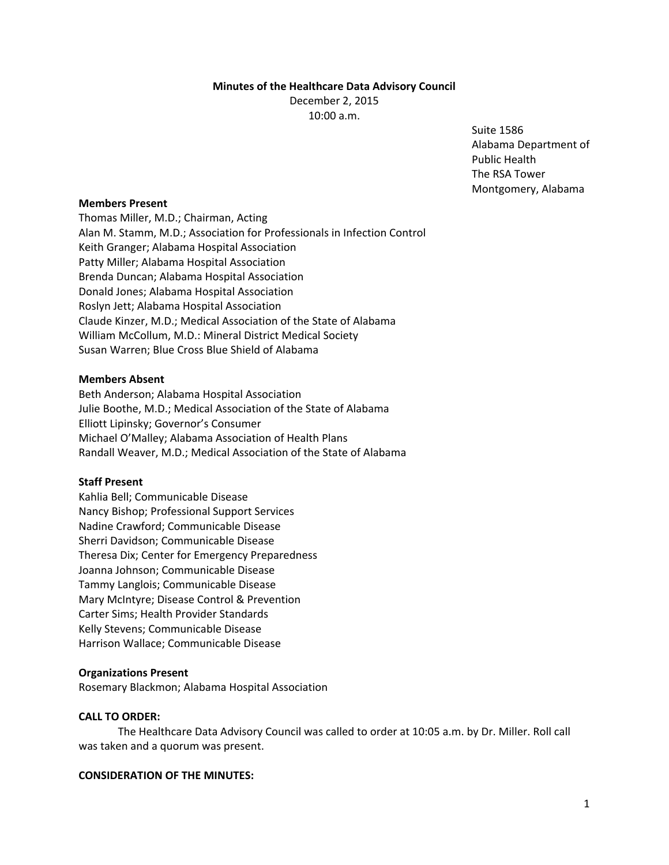### **Minutes of the Healthcare Data Advisory Council**

December 2, 2015 10:00 a.m.

> Suite 1586 Alabama Department of Public Health The RSA Tower Montgomery, Alabama

# **Members Present**

Thomas Miller, M.D.; Chairman, Acting Alan M. Stamm, M.D.; Association for Professionals in Infection Control Keith Granger; Alabama Hospital Association Patty Miller; Alabama Hospital Association Brenda Duncan; Alabama Hospital Association Donald Jones; Alabama Hospital Association Roslyn Jett; Alabama Hospital Association Claude Kinzer, M.D.; Medical Association of the State of Alabama William McCollum, M.D.: Mineral District Medical Society Susan Warren; Blue Cross Blue Shield of Alabama

### **Members Absent**

Beth Anderson; Alabama Hospital Association Julie Boothe, M.D.; Medical Association of the State of Alabama Elliott Lipinsky; Governor's Consumer Michael O'Malley; Alabama Association of Health Plans Randall Weaver, M.D.; Medical Association of the State of Alabama

## **Staff Present**

Kahlia Bell; Communicable Disease Nancy Bishop; Professional Support Services Nadine Crawford; Communicable Disease Sherri Davidson; Communicable Disease Theresa Dix; Center for Emergency Preparedness Joanna Johnson; Communicable Disease Tammy Langlois; Communicable Disease Mary McIntyre; Disease Control & Prevention Carter Sims; Health Provider Standards Kelly Stevens; Communicable Disease Harrison Wallace; Communicable Disease

# **Organizations Present**

Rosemary Blackmon; Alabama Hospital Association

#### **CALL TO ORDER:**

The Healthcare Data Advisory Council was called to order at 10:05 a.m. by Dr. Miller. Roll call was taken and a quorum was present.

### **CONSIDERATION OF THE MINUTES:**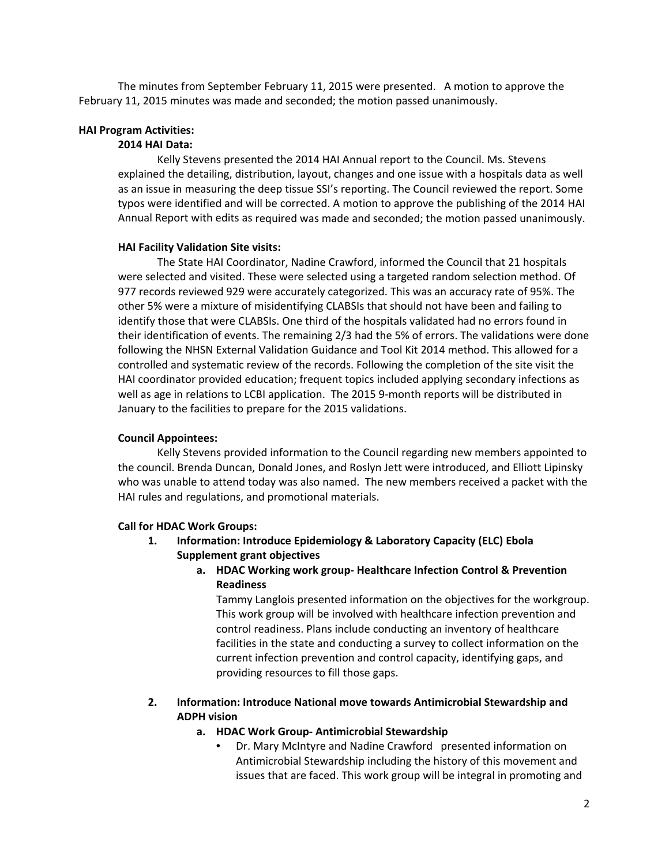The minutes from September February 11, 2015 were presented. A motion to approve the February 11, 2015 minutes was made and seconded; the motion passed unanimously.

### **HAI Program Activities:**

### **2014 HAI Data:**

Kelly Stevens presented the 2014 HAI Annual report to the Council. Ms. Stevens explained the detailing, distribution, layout, changes and one issue with a hospitals data as well as an issue in measuring the deep tissue SSI's reporting. The Council reviewed the report. Some typos were identified and will be corrected. A motion to approve the publishing of the 2014 HAI Annual Report with edits as required was made and seconded; the motion passed unanimously.

#### **HAI Facility Validation Site visits:**

The State HAI Coordinator, Nadine Crawford, informed the Council that 21 hospitals were selected and visited. These were selected using a targeted random selection method. Of 977 records reviewed 929 were accurately categorized. This was an accuracy rate of 95%. The other 5% were a mixture of misidentifying CLABSIs that should not have been and failing to identify those that were CLABSIs. One third of the hospitals validated had no errors found in their identification of events. The remaining 2/3 had the 5% of errors. The validations were done following the NHSN External Validation Guidance and Tool Kit 2014 method. This allowed for a controlled and systematic review of the records. Following the completion of the site visit the HAI coordinator provided education; frequent topics included applying secondary infections as well as age in relations to LCBI application. The 2015 9-month reports will be distributed in January to the facilities to prepare for the 2015 validations.

# **Council Appointees:**

Kelly Stevens provided information to the Council regarding new members appointed to the council. Brenda Duncan, Donald Jones, and Roslyn Jett were introduced, and Elliott Lipinsky who was unable to attend today was also named. The new members received a packet with the HAI rules and regulations, and promotional materials.

#### **Call for HDAC Work Groups:**

- **1. Information: Introduce Epidemiology & Laboratory Capacity (ELC) Ebola Supplement grant objectives**
	- **a. HDAC Working work group‐ Healthcare Infection Control & Prevention Readiness**

Tammy Langlois presented information on the objectives for the workgroup. This work group will be involved with healthcare infection prevention and control readiness. Plans include conducting an inventory of healthcare facilities in the state and conducting a survey to collect information on the current infection prevention and control capacity, identifying gaps, and providing resources to fill those gaps.

# **2. Information: Introduce National move towards Antimicrobial Stewardship and ADPH vision**

### **a. HDAC Work Group‐ Antimicrobial Stewardship**

• Dr. Mary McIntyre and Nadine Crawford presented information on Antimicrobial Stewardship including the history of this movement and issues that are faced. This work group will be integral in promoting and